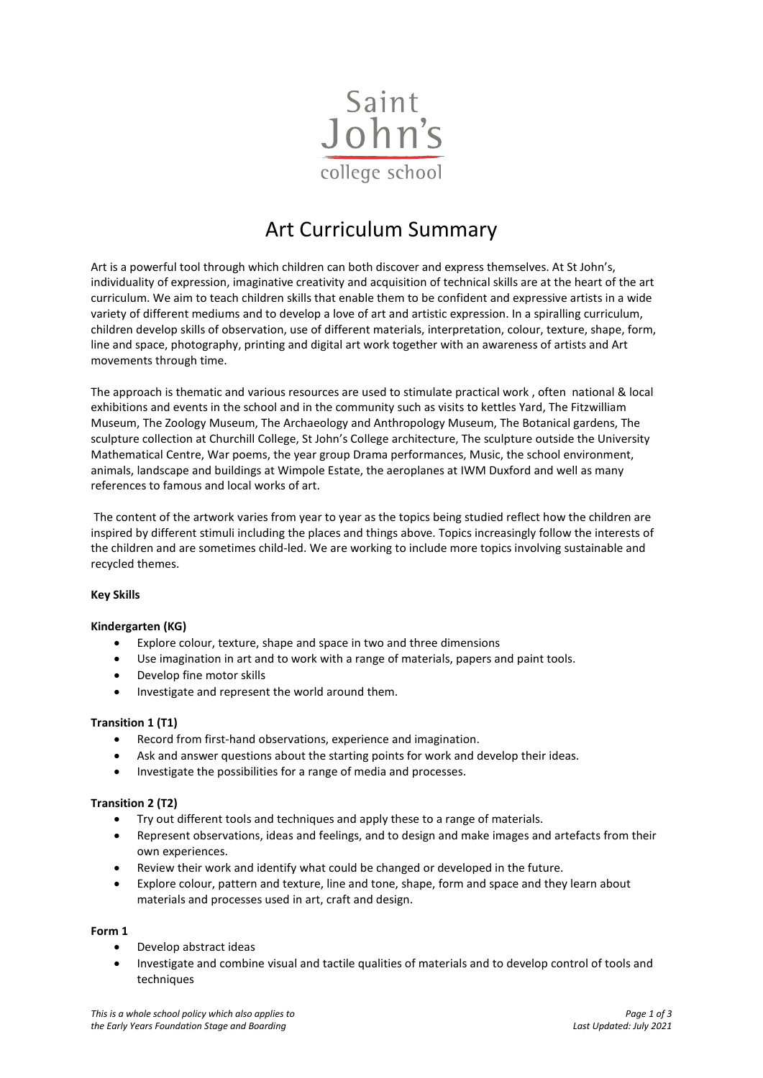

# Art Curriculum Summary

Art is a powerful tool through which children can both discover and express themselves. At St John's, individuality of expression, imaginative creativity and acquisition of technical skills are at the heart of the art curriculum. We aim to teach children skills that enable them to be confident and expressive artists in a wide variety of different mediums and to develop a love of art and artistic expression. In a spiralling curriculum, children develop skills of observation, use of different materials, interpretation, colour, texture, shape, form, line and space, photography, printing and digital art work together with an awareness of artists and Art movements through time.

The approach is thematic and various resources are used to stimulate practical work , often national & local exhibitions and events in the school and in the community such as visits to kettles Yard, The Fitzwilliam Museum, The Zoology Museum, The Archaeology and Anthropology Museum, The Botanical gardens, The sculpture collection at Churchill College, St John's College architecture, The sculpture outside the University Mathematical Centre, War poems, the year group Drama performances, Music, the school environment, animals, landscape and buildings at Wimpole Estate, the aeroplanes at IWM Duxford and well as many references to famous and local works of art.

The content of the artwork varies from year to year as the topics being studied reflect how the children are inspired by different stimuli including the places and things above. Topics increasingly follow the interests of the children and are sometimes child-led. We are working to include more topics involving sustainable and recycled themes.

### **Key Skills**

### **Kindergarten (KG)**

- Explore colour, texture, shape and space in two and three dimensions
- Use imagination in art and to work with a range of materials, papers and paint tools.
- Develop fine motor skills
- Investigate and represent the world around them.

## **Transition 1 (T1)**

- Record from first-hand observations, experience and imagination.
- Ask and answer questions about the starting points for work and develop their ideas.
- Investigate the possibilities for a range of media and processes.

### **Transition 2 (T2)**

- Try out different tools and techniques and apply these to a range of materials.
- Represent observations, ideas and feelings, and to design and make images and artefacts from their own experiences.
- Review their work and identify what could be changed or developed in the future.
- Explore colour, pattern and texture, line and tone, shape, form and space and they learn about materials and processes used in art, craft and design.

### **Form 1**

- Develop abstract ideas
- Investigate and combine visual and tactile qualities of materials and to develop control of tools and techniques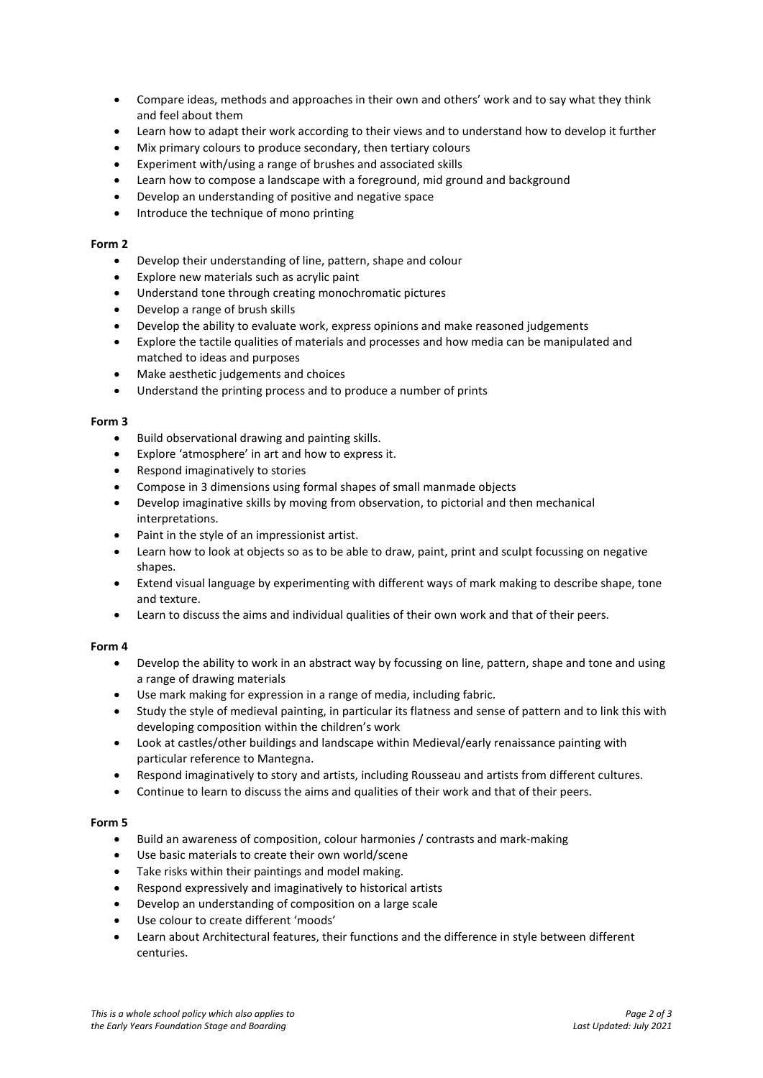- Compare ideas, methods and approaches in their own and others' work and to say what they think and feel about them
- Learn how to adapt their work according to their views and to understand how to develop it further
- Mix primary colours to produce secondary, then tertiary colours
- Experiment with/using a range of brushes and associated skills
- Learn how to compose a landscape with a foreground, mid ground and background
- Develop an understanding of positive and negative space
- Introduce the technique of mono printing

### **Form 2**

- Develop their understanding of line, pattern, shape and colour
- Explore new materials such as acrylic paint
- Understand tone through creating monochromatic pictures
- Develop a range of brush skills
- Develop the ability to evaluate work, express opinions and make reasoned judgements
- Explore the tactile qualities of materials and processes and how media can be manipulated and matched to ideas and purposes
- Make aesthetic judgements and choices
- Understand the printing process and to produce a number of prints

#### **Form 3**

- Build observational drawing and painting skills.
- Explore 'atmosphere' in art and how to express it.
- Respond imaginatively to stories
- Compose in 3 dimensions using formal shapes of small manmade objects
- Develop imaginative skills by moving from observation, to pictorial and then mechanical interpretations.
- Paint in the style of an impressionist artist.
- Learn how to look at objects so as to be able to draw, paint, print and sculpt focussing on negative shapes.
- Extend visual language by experimenting with different ways of mark making to describe shape, tone and texture.
- Learn to discuss the aims and individual qualities of their own work and that of their peers.

### **Form 4**

- Develop the ability to work in an abstract way by focussing on line, pattern, shape and tone and using a range of drawing materials
- Use mark making for expression in a range of media, including fabric.
- Study the style of medieval painting, in particular its flatness and sense of pattern and to link this with developing composition within the children's work
- Look at castles/other buildings and landscape within Medieval/early renaissance painting with particular reference to Mantegna.
- Respond imaginatively to story and artists, including Rousseau and artists from different cultures.
- Continue to learn to discuss the aims and qualities of their work and that of their peers.

### **Form 5**

- Build an awareness of composition, colour harmonies / contrasts and mark-making
- Use basic materials to create their own world/scene
- Take risks within their paintings and model making.
- Respond expressively and imaginatively to historical artists
- Develop an understanding of composition on a large scale
- Use colour to create different 'moods'
- Learn about Architectural features, their functions and the difference in style between different centuries.